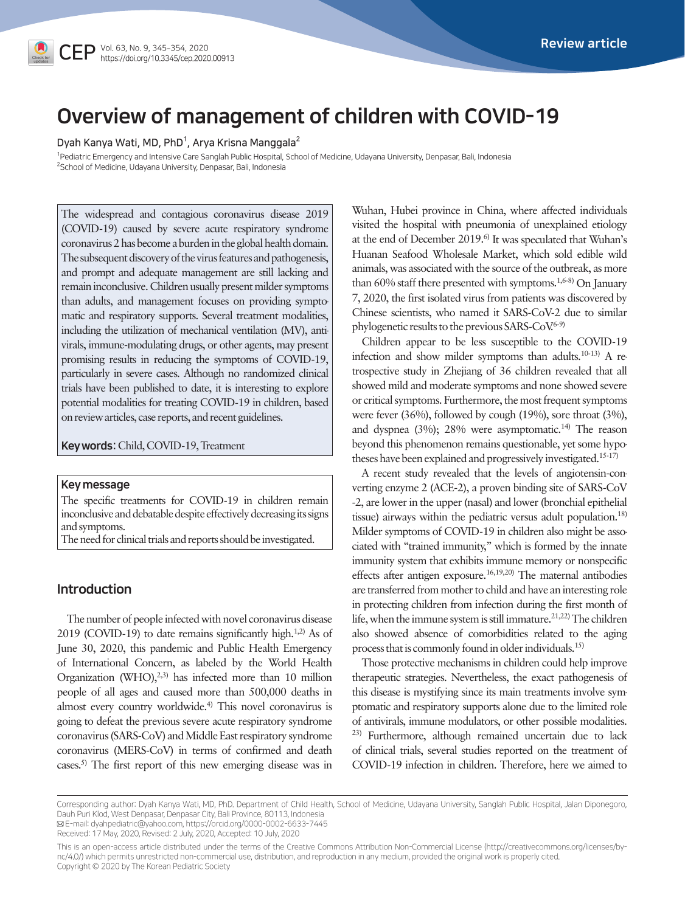

Dyah Kanya Wati, MD, PhD $^{\rm 1}$ , Arya Krisna Manggala $^{\rm 2}$ 

1 Pediatric Emergency and Intensive Care Sanglah Public Hospital, School of Medicine, Udayana University, Denpasar, Bali, Indonesia 2 School of Medicine, Udayana University, Denpasar, Bali, Indonesia

The widespread and contagious coronavirus disease 2019 (COVID-19) caused by severe acute respiratory syndrome coronavirus 2 has become a burden in the global health domain. The subsequent discovery of the virus features and pathogenesis, and prompt and adequate management are still lacking and remain inconclusive. Children usually present milder symptoms than adults, and management focuses on providing symptomatic and respiratory supports. Several treatment modalities, including the utilization of mechanical ventilation (MV), antivirals, immune-modulating drugs, or other agents, may present promising results in reducing the symptoms of COVID-19, particularly in severe cases. Although no randomized clinical trials have been published to date, it is interesting to explore potential modalities for treating COVID-19 in children, based on review articles, case reports, and recent guidelines.

Key words: Child, COVID-19, Treatment

#### Key message

The specific treatments for COVID-19 in children remain inconclusive and debatable despite effectively decreasing its signs and symptoms.

The need for clinical trials and reports should be investigated.

# Introduction

The number of people infected with novel coronavirus disease 2019 (COVID-19) to date remains significantly high.<sup>1,2)</sup> As of June 30, 2020, this pandemic and Public Health Emergency of International Concern, as labeled by the World Health Organization (WHO), $^{2,3)}$  has infected more than 10 million people of all ages and caused more than 500,000 deaths in almost every country worldwide.4) This novel coronavirus is going to defeat the previous severe acute respiratory syndrome coronavirus (SARS-CoV) and Middle East respiratory syndrome coronavirus (MERS-CoV) in terms of confirmed and death cases.5) The first report of this new emerging disease was in

Wuhan, Hubei province in China, where affected individuals visited the hospital with pneumonia of unexplained etiology at the end of December 2019.<sup>6)</sup> It was speculated that Wuhan's Huanan Seafood Wholesale Market, which sold edible wild animals, was associated with the source of the outbreak, as more than 60% staff there presented with symptoms.<sup>1,6-8)</sup> On January 7, 2020, the first isolated virus from patients was discovered by Chinese scientists, who named it SARS-CoV-2 due to similar phylogenetic results to the previous SARS- $CoV<sup>6-9</sup>$ 

Children appear to be less susceptible to the COVID-19 infection and show milder symptoms than adults. $10-13$ ) A retrospective study in Zhejiang of 36 children revealed that all showed mild and moderate symptoms and none showed severe or critical symptoms. Furthermore, the most frequent symptoms were fever (36%), followed by cough (19%), sore throat (3%), and dyspnea  $(3\%)$ ; 28% were asymptomatic.<sup>14)</sup> The reason beyond this phenomenon remains questionable, yet some hypotheses have been explained and progressively investigated.15-17)

A recent study revealed that the levels of angiotensin-converting enzyme 2 (ACE-2), a proven binding site of SARS-CoV -2, are lower in the upper (nasal) and lower (bronchial epithelial tissue) airways within the pediatric versus adult population.18) Milder symptoms of COVID-19 in children also might be associated with "trained immunity," which is formed by the innate immunity system that exhibits immune memory or nonspecific effects after antigen exposure.16,19,20) The maternal antibodies are transferred from mother to child and have an interesting role in protecting children from infection during the first month of life, when the immune system is still immature.<sup>21,22)</sup> The children also showed absence of comorbidities related to the aging process that is commonly found in older individuals.<sup>15)</sup>

Those protective mechanisms in children could help improve therapeutic strategies. Nevertheless, the exact pathogenesis of this disease is mystifying since its main treatments involve symptomatic and respiratory supports alone due to the limited role of antivirals, immune modulators, or other possible modalities. 23) Furthermore, although remained uncertain due to lack of clinical trials, several studies reported on the treatment of COVID-19 infection in children. Therefore, here we aimed to

Received: 17 May, 2020, Revised: 2 July, 2020, Accepted: 10 July, 2020

This is an open-access article distributed under the terms of the Creative Commons Attribution Non-Commercial License [\(http://creativecommons.org/licenses/by](http://creativecommons.org/licenses/by)nc/4.0/) which permits unrestricted non-commercial use, distribution, and reproduction in any medium, provided the original work is properly cited. Copyright © 2020 by The Korean Pediatric Society

Corresponding author: Dyah Kanya Wati, MD, PhD. Department of Child Health, School of Medicine, Udayana University, Sanglah Public Hospital, Jalan Diponegoro, Dauh Puri Klod, West Denpasar, Denpasar City, Bali Province, 80113, Indonesia E-mail: dyahpediatric@yahoo.com, https://orcid.org/0000-0002-6633-7445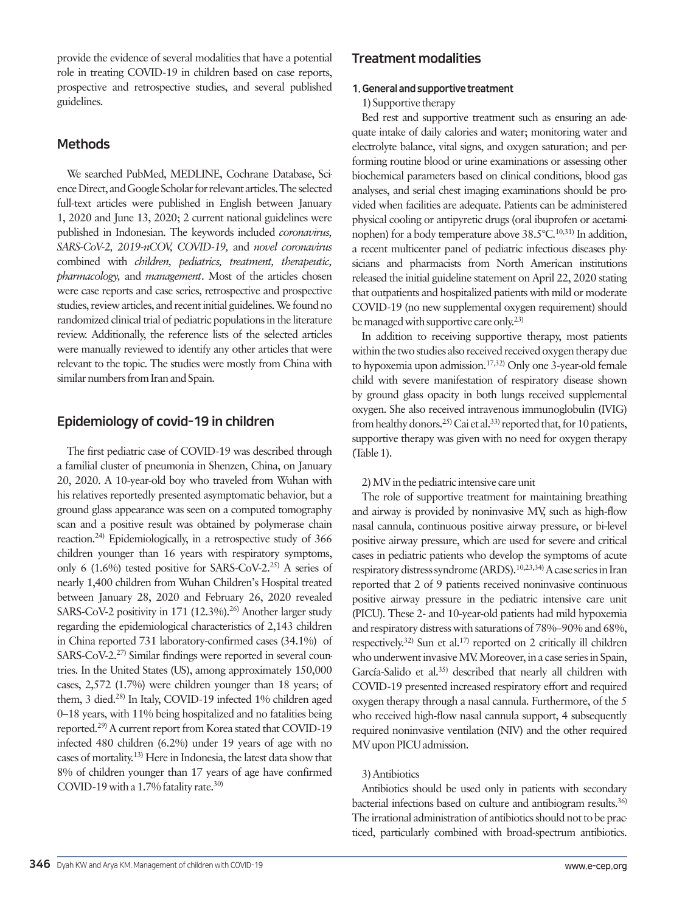provide the evidence of several modalities that have a potential role in treating COVID-19 in children based on case reports, prospective and retrospective studies, and several published guidelines.

# Methods

We searched PubMed, MEDLINE, Cochrane Database, Science Direct, and Google Scholar for relevant articles. The selected full-text articles were published in English between January 1, 2020 and June 13, 2020; 2 current national guidelines were published in Indonesian. The keywords included *coronavirus, SARS-CoV-2, 2019-nCOV, COVID-19,* and *novel coronavirus* combined with *children, pediatrics, treatment, therapeutic, pharmacology,* and *management*. Most of the articles chosen were case reports and case series, retrospective and prospective studies, review articles, and recent initial guidelines. We found no randomized clinical trial of pediatric populations in the literature review. Additionally, the reference lists of the selected articles were manually reviewed to identify any other articles that were relevant to the topic. The studies were mostly from China with similar numbers from Iran and Spain.

# Epidemiology of covid-19 in children

The first pediatric case of COVID-19 was described through a familial cluster of pneumonia in Shenzen, China, on January 20, 2020. A 10-year-old boy who traveled from Wuhan with his relatives reportedly presented asymptomatic behavior, but a ground glass appearance was seen on a computed tomography scan and a positive result was obtained by polymerase chain reaction.24) Epidemiologically, in a retrospective study of 366 children younger than 16 years with respiratory symptoms, only 6 (1.6%) tested positive for SARS-CoV-2.25) A series of nearly 1,400 children from Wuhan Children's Hospital treated between January 28, 2020 and February 26, 2020 revealed SARS-CoV-2 positivity in 171 (12.3%).<sup>26)</sup> Another larger study regarding the epidemiological characteristics of 2,143 children in China reported 731 laboratory-confirmed cases (34.1%) of SARS-CoV-2.<sup>27)</sup> Similar findings were reported in several countries. In the United States (US), among approximately 150,000 cases, 2,572 (1.7%) were children younger than 18 years; of them, 3 died.<sup>28)</sup> In Italy, COVID-19 infected 1% children aged 0–18 years, with 11% being hospitalized and no fatalities being reported.29) A current report from Korea stated that COVID-19 infected 480 children (6.2%) under 19 years of age with no cases of mortality.13) Here in Indonesia, the latest data show that 8% of children younger than 17 years of age have confirmed COVID-19 with a 1.7% fatality rate.<sup>30)</sup>

# Treatment modalities

# 1. General and supportive treatment

# 1) Supportive therapy

Bed rest and supportive treatment such as ensuring an adequate intake of daily calories and water; monitoring water and electrolyte balance, vital signs, and oxygen saturation; and performing routine blood or urine examinations or assessing other biochemical parameters based on clinical conditions, blood gas analyses, and serial chest imaging examinations should be provided when facilities are adequate. Patients can be administered physical cooling or antipyretic drugs (oral ibuprofen or acetaminophen) for a body temperature above 38.5°C.10,31) In addition, a recent multicenter panel of pediatric infectious diseases physicians and pharmacists from North American institutions released the initial guideline statement on April 22, 2020 stating that outpatients and hospitalized patients with mild or moderate COVID-19 (no new supplemental oxygen requirement) should be managed with supportive care only.<sup>23)</sup>

In addition to receiving supportive therapy, most patients within the two studies also received received oxygen therapy due to hypoxemia upon admission.17,32) Only one 3-year-old female child with severe manifestation of respiratory disease shown by ground glass opacity in both lungs received supplemental oxygen. She also received intravenous immunoglobulin (IVIG) from healthy donors.<sup>25)</sup> Cai et al.<sup>33)</sup> reported that, for 10 patients, supportive therapy was given with no need for oxygen therapy (Table 1).

# 2) MV in the pediatric intensive care unit

The role of supportive treatment for maintaining breathing and airway is provided by noninvasive MV, such as high-flow nasal cannula, continuous positive airway pressure, or bi-level positive airway pressure, which are used for severe and critical cases in pediatric patients who develop the symptoms of acute respiratory distress syndrome (ARDS).10,23,34) A case series in Iran reported that 2 of 9 patients received noninvasive continuous positive airway pressure in the pediatric intensive care unit (PICU). These 2- and 10-year-old patients had mild hypoxemia and respiratory distress with saturations of 78%–90% and 68%, respectively.32) Sun et al.17) reported on 2 critically ill children who underwent invasive MV. Moreover, in a case series in Spain, García-Salido et al.<sup>35)</sup> described that nearly all children with COVID-19 presented increased respiratory effort and required oxygen therapy through a nasal cannula. Furthermore, of the 5 who received high-flow nasal cannula support, 4 subsequently required noninvasive ventilation (NIV) and the other required MV upon PICU admission.

# 3) Antibiotics

Antibiotics should be used only in patients with secondary bacterial infections based on culture and antibiogram results.36) The irrational administration of antibiotics should not to be practiced, particularly combined with broad-spectrum antibiotics.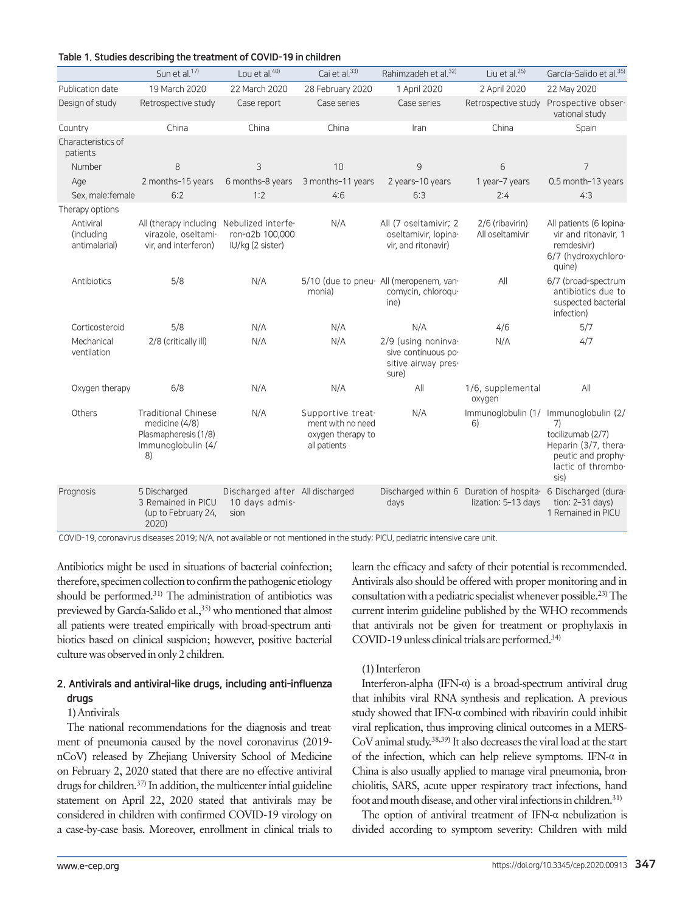|  |  | Table 1. Studies describing the treatment of COVID-19 in children |  |  |  |  |  |  |  |  |
|--|--|-------------------------------------------------------------------|--|--|--|--|--|--|--|--|
|--|--|-------------------------------------------------------------------|--|--|--|--|--|--|--|--|

|                                          | Sun et al. <sup>17)</sup>                                                                          | Lou et al. <sup>40)</sup>                                 | Cai et al. <sup>33)</sup>                                                   | Rahimzadeh et al. <sup>32)</sup>                                           | Liu et al. <sup>25)</sup>                                                          | García-Salido et al. <sup>35)</sup>                                                                                                          |
|------------------------------------------|----------------------------------------------------------------------------------------------------|-----------------------------------------------------------|-----------------------------------------------------------------------------|----------------------------------------------------------------------------|------------------------------------------------------------------------------------|----------------------------------------------------------------------------------------------------------------------------------------------|
| Publication date                         | 19 March 2020                                                                                      | 22 March 2020                                             | 28 February 2020                                                            | 1 April 2020                                                               | 2 April 2020                                                                       | 22 May 2020                                                                                                                                  |
| Design of study                          | Retrospective study                                                                                | Case report                                               | Case series                                                                 | Case series                                                                | Retrospective study                                                                | Prospective obser-<br>vational study                                                                                                         |
| Country                                  | China                                                                                              | China                                                     | China                                                                       | Iran                                                                       | China                                                                              | Spain                                                                                                                                        |
| Characteristics of<br>patients           |                                                                                                    |                                                           |                                                                             |                                                                            |                                                                                    |                                                                                                                                              |
| Number                                   | 8                                                                                                  | 3                                                         | 10                                                                          | 9                                                                          | 6                                                                                  | 7                                                                                                                                            |
| Age                                      | 2 months-15 years                                                                                  | 6 months-8 years                                          | 3 months-11 years                                                           | 2 years-10 years                                                           | 1 year-7 years                                                                     | 0.5 month-13 years                                                                                                                           |
| Sex, male: female                        | 6:2                                                                                                | 1:2                                                       | 4:6                                                                         | 6:3                                                                        | 2:4                                                                                | 4:3                                                                                                                                          |
| Therapy options                          |                                                                                                    |                                                           |                                                                             |                                                                            |                                                                                    |                                                                                                                                              |
| Antiviral<br>(including<br>antimalarial) | All (therapy including<br>virazole, oseltami-<br>vir, and interferon)                              | Nebulized interfe-<br>ron-a2b 100,000<br>IU/kg (2 sister) | N/A                                                                         | All (7 oseltamivir; 2<br>oseltamivir, lopina-<br>vir, and ritonavir)       | 2/6 (ribavirin)<br>All oseltamivir                                                 | All patients (6 lopina-<br>vir and ritonavir, 1<br>remdesivir)<br>6/7 (hydroxychloro-<br>quine)                                              |
| Antibiotics                              | 5/8                                                                                                | N/A                                                       | monia)                                                                      | 5/10 (due to pneu- All (meropenem, van-<br>comycin, chloroqu-<br>ine)      | All                                                                                | 6/7 (broad-spectrum<br>antibiotics due to<br>suspected bacterial<br>infection)                                                               |
| Corticosteroid                           | 5/8                                                                                                | N/A                                                       | N/A                                                                         | N/A                                                                        | 4/6                                                                                | 5/7                                                                                                                                          |
| Mechanical<br>ventilation                | 2/8 (critically ill)                                                                               | N/A                                                       | N/A                                                                         | 2/9 (using noninva-<br>sive continuous po-<br>sitive airway pres-<br>sure) | N/A                                                                                | 4/7                                                                                                                                          |
| Oxygen therapy                           | 6/8                                                                                                | N/A                                                       | N/A                                                                         | All                                                                        | 1/6, supplemental<br>oxygen                                                        | All                                                                                                                                          |
| Others                                   | <b>Traditional Chinese</b><br>medicine $(4/8)$<br>Plasmapheresis (1/8)<br>Immunoglobulin (4/<br>8) | N/A                                                       | Supportive treat-<br>ment with no need<br>oxygen therapy to<br>all patients | N/A                                                                        | 6)                                                                                 | Immunoglobulin (1/ Immunoglobulin (2/<br>7)<br>tocilizumab (2/7)<br>Heparin (3/7, thera-<br>peutic and prophy-<br>lactic of thrombo-<br>sis) |
| Prognosis                                | 5 Discharged<br>3 Remained in PICU<br>(up to February 24,<br>2020)                                 | Discharged after All discharged<br>10 days admis-<br>sion |                                                                             | days                                                                       | Discharged within 6 Duration of hospita 6 Discharged (dura-<br>lization: 5-13 days | tion: 2-31 days)<br>1 Remained in PICU                                                                                                       |

COVID-19, coronavirus diseases 2019; N/A, not available or not mentioned in the study; PICU, pediatric intensive care unit.

Antibiotics might be used in situations of bacterial coinfection; therefore, specimen collection to confirm the pathogenic etiology should be performed.<sup>31)</sup> The administration of antibiotics was previewed by García-Salido et al.,<sup>35)</sup> who mentioned that almost all patients were treated empirically with broad-spectrum antibiotics based on clinical suspicion; however, positive bacterial culture was observed in only 2 children.

# 2. Antivirals and antiviral-like drugs, including anti-influenza drugs

#### 1) Antivirals

The national recommendations for the diagnosis and treatment of pneumonia caused by the novel coronavirus (2019 nCoV) released by Zhejiang University School of Medicine on February 2, 2020 stated that there are no effective antiviral drugs for children.<sup>37)</sup> In addition, the multicenter intial guideline statement on April 22, 2020 stated that antivirals may be considered in children with confirmed COVID-19 virology on a case-by-case basis. Moreover, enrollment in clinical trials to learn the efficacy and safety of their potential is recommended. Antivirals also should be offered with proper monitoring and in consultation with a pediatric specialist whenever possible.23) The current interim guideline published by the WHO recommends that antivirals not be given for treatment or prophylaxis in COVID-19 unless clinical trials are performed.<sup>34)</sup>

#### (1) Interferon

Interferon-alpha (IFN-α) is a broad-spectrum antiviral drug that inhibits viral RNA synthesis and replication. A previous study showed that IFN-α combined with ribavirin could inhibit viral replication, thus improving clinical outcomes in a MERS-CoV animal study.38,39) It also decreases the viral load at the start of the infection, which can help relieve symptoms. IFN-α in China is also usually applied to manage viral pneumonia, bronchiolitis, SARS, acute upper respiratory tract infections, hand foot and mouth disease, and other viral infections in children.31)

The option of antiviral treatment of IFN-α nebulization is divided according to symptom severity: Children with mild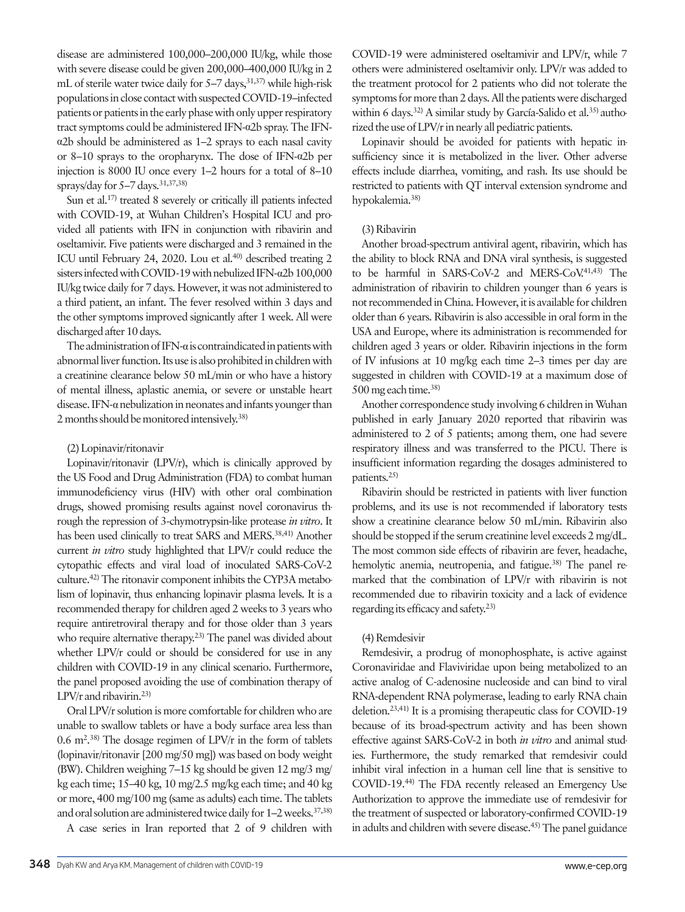disease are administered 100,000–200,000 IU/kg, while those with severe disease could be given 200,000–400,000 IU/kg in 2 mL of sterile water twice daily for  $5-7$  days,  $31,37$  while high-risk populations in close contact with suspected COVID-19–infected patients or patients in the early phase with only upper respiratory tract symptoms could be administered IFN-α2b spray. The IFNα2b should be administered as 1–2 sprays to each nasal cavity or 8–10 sprays to the oropharynx. The dose of IFN-α2b per injection is 8000 IU once every 1–2 hours for a total of 8–10 sprays/day for  $5-7$  days.  $31,37,38$ )

Sun et al.<sup>17)</sup> treated 8 severely or critically ill patients infected with COVID-19, at Wuhan Children's Hospital ICU and provided all patients with IFN in conjunction with ribavirin and oseltamivir. Five patients were discharged and 3 remained in the ICU until February 24, 2020. Lou et al.<sup>40)</sup> described treating 2 sisters infected with COVID-19 with nebulized IFN-α2b 100,000 IU/kg twice daily for 7 days. However, it was not administered to a third patient, an infant. The fever resolved within 3 days and the other symptoms improved signicantly after 1 week. All were discharged after 10 days.

The administration of IFN-α is contraindicated in patients with abnormal liver function. Its use is also prohibited in children with a creatinine clearance below 50 mL/min or who have a history of mental illness, aplastic anemia, or severe or unstable heart disease. IFN-α nebulization in neonates and infants younger than 2 months should be monitored intensively.<sup>38)</sup>

# (2) Lopinavir/ritonavir

Lopinavir/ritonavir (LPV/r), which is clinically approved by the US Food and Drug Administration (FDA) to combat human immunodeficiency virus (HIV) with other oral combination drugs, showed promising results against novel coronavirus through the repression of 3-chymotrypsin-like protease *in vitro*. It has been used clinically to treat SARS and MERS.<sup>38,41)</sup> Another current *in vitro* study highlighted that LPV/r could reduce the cytopathic effects and viral load of inoculated SARS-CoV-2 culture.42) The ritonavir component inhibits the CYP3A metabolism of lopinavir, thus enhancing lopinavir plasma levels. It is a recommended therapy for children aged 2 weeks to 3 years who require antiretroviral therapy and for those older than 3 years who require alternative therapy.<sup>23)</sup> The panel was divided about whether LPV/r could or should be considered for use in any children with COVID-19 in any clinical scenario. Furthermore, the panel proposed avoiding the use of combination therapy of LPV/r and ribavirin.23)

Oral LPV/r solution is more comfortable for children who are unable to swallow tablets or have a body surface area less than  $0.6 \text{ m}^2$ .<sup>38)</sup> The dosage regimen of LPV/r in the form of tablets (lopinavir/ritonavir [200 mg/50 mg]) was based on body weight (BW). Children weighing 7–15 kg should be given 12 mg/3 mg/ kg each time; 15–40 kg, 10 mg/2.5 mg/kg each time; and 40 kg or more, 400 mg/100 mg (same as adults) each time. The tablets and oral solution are administered twice daily for 1-2 weeks.<sup>37,38)</sup>

A case series in Iran reported that 2 of 9 children with

COVID-19 were administered oseltamivir and LPV/r, while 7 others were administered oseltamivir only. LPV/r was added to the treatment protocol for 2 patients who did not tolerate the symptoms for more than 2 days. All the patients were discharged within 6 days.<sup>32)</sup> A similar study by García-Salido et al.<sup>35)</sup> authorized the use of LPV/r in nearly all pediatric patients.

Lopinavir should be avoided for patients with hepatic insufficiency since it is metabolized in the liver. Other adverse effects include diarrhea, vomiting, and rash. Its use should be restricted to patients with QT interval extension syndrome and hypokalemia.38)

# (3) Ribavirin

Another broad-spectrum antiviral agent, ribavirin, which has the ability to block RNA and DNA viral synthesis, is suggested to be harmful in SARS-CoV-2 and MERS-CoV-41,43) The administration of ribavirin to children younger than 6 years is not recommended in China. However, it is available for children older than 6 years. Ribavirin is also accessible in oral form in the USA and Europe, where its administration is recommended for children aged 3 years or older. Ribavirin injections in the form of IV infusions at 10 mg/kg each time 2–3 times per day are suggested in children with COVID-19 at a maximum dose of 500 mg each time.38)

Another correspondence study involving 6 children in Wuhan published in early January 2020 reported that ribavirin was administered to 2 of 5 patients; among them, one had severe respiratory illness and was transferred to the PICU. There is insufficient information regarding the dosages administered to patients.25)

Ribavirin should be restricted in patients with liver function problems, and its use is not recommended if laboratory tests show a creatinine clearance below 50 mL/min. Ribavirin also should be stopped if the serum creatinine level exceeds 2 mg/dL. The most common side effects of ribavirin are fever, headache, hemolytic anemia, neutropenia, and fatigue.<sup>38)</sup> The panel remarked that the combination of LPV/r with ribavirin is not recommended due to ribavirin toxicity and a lack of evidence regarding its efficacy and safety.23)

# (4) Remdesivir

Remdesivir, a prodrug of monophosphate, is active against Coronaviridae and Flaviviridae upon being metabolized to an active analog of C-adenosine nucleoside and can bind to viral RNA-dependent RNA polymerase, leading to early RNA chain deletion.23,41) It is a promising therapeutic class for COVID-19 because of its broad-spectrum activity and has been shown effective against SARS-CoV-2 in both *in vitro* and animal studies. Furthermore, the study remarked that remdesivir could inhibit viral infection in a human cell line that is sensitive to COVID-19.44) The FDA recently released an Emergency Use Authorization to approve the immediate use of remdesivir for the treatment of suspected or laboratory-confirmed COVID-19 in adults and children with severe disease.<sup>45)</sup> The panel guidance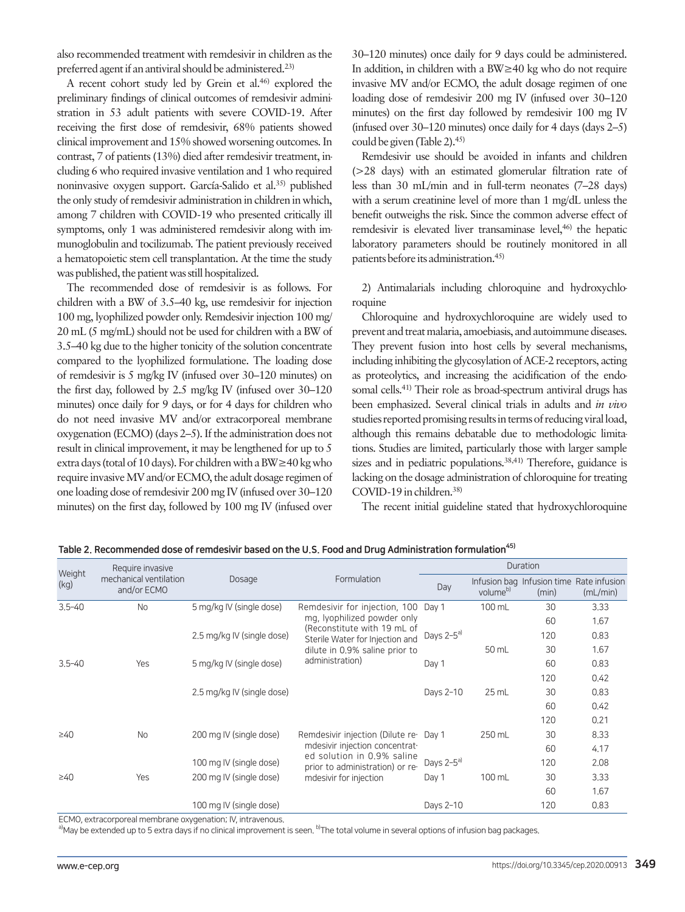also recommended treatment with remdesivir in children as the preferred agent if an antiviral should be administered.23)

A recent cohort study led by Grein et al.<sup>46)</sup> explored the preliminary findings of clinical outcomes of remdesivir administration in 53 adult patients with severe COVID-19. After receiving the first dose of remdesivir, 68% patients showed clinical improvement and 15% showed worsening outcomes. In contrast, 7 of patients (13%) died after remdesivir treatment, including 6 who required invasive ventilation and 1 who required noninvasive oxygen support. García-Salido et al.35) published the only study of remdesivir administration in children in which, among 7 children with COVID-19 who presented critically ill symptoms, only 1 was administered remdesivir along with immunoglobulin and tocilizumab. The patient previously received a hematopoietic stem cell transplantation. At the time the study was published, the patient was still hospitalized.

The recommended dose of remdesivir is as follows. For children with a BW of 3.5–40 kg, use remdesivir for injection 100 mg, lyophilized powder only. Remdesivir injection 100 mg/ 20 mL (5 mg/mL) should not be used for children with a BW of 3.5–40 kg due to the higher tonicity of the solution concentrate compared to the lyophilized formulatione. The loading dose of remdesivir is 5 mg/kg IV (infused over 30–120 minutes) on the first day, followed by 2.5 mg/kg IV (infused over 30–120 minutes) once daily for 9 days, or for 4 days for children who do not need invasive MV and/or extracorporeal membrane oxygenation (ECMO) (days 2–5). If the administration does not result in clinical improvement, it may be lengthened for up to 5 extra days (total of 10 days). For children with a BW≥40 kg who require invasive MV and/or ECMO, the adult dosage regimen of one loading dose of remdesivir 200 mg IV (infused over 30–120 minutes) on the first day, followed by 100 mg IV (infused over 30–120 minutes) once daily for 9 days could be administered. In addition, in children with a BW≥40 kg who do not require invasive MV and/or ECMO, the adult dosage regimen of one loading dose of remdesivir 200 mg IV (infused over 30–120 minutes) on the first day followed by remdesivir 100 mg IV (infused over 30–120 minutes) once daily for 4 days (days 2–5) could be given (Table 2).<sup>45)</sup>

Remdesivir use should be avoided in infants and children (>28 days) with an estimated glomerular filtration rate of less than 30 mL/min and in full-term neonates (7–28 days) with a serum creatinine level of more than 1 mg/dL unless the benefit outweighs the risk. Since the common adverse effect of remdesivir is elevated liver transaminase level,<sup>46)</sup> the hepatic laboratory parameters should be routinely monitored in all patients before its administration.45)

2) Antimalarials including chloroquine and hydroxychloroquine

Chloroquine and hydroxychloroquine are widely used to prevent and treat malaria, amoebiasis, and autoimmune diseases. They prevent fusion into host cells by several mechanisms, including inhibiting the glycosylation of ACE-2 receptors, acting as proteolytics, and increasing the acidification of the endosomal cells.41) Their role as broad-spectrum antiviral drugs has been emphasized. Several clinical trials in adults and *in vivo*  studies reported promising results in terms of reducing viral load, although this remains debatable due to methodologic limitations. Studies are limited, particularly those with larger sample sizes and in pediatric populations.<sup>38,41)</sup> Therefore, guidance is lacking on the dosage administration of chloroquine for treating COVID-19 in children.<sup>38)</sup>

The recent initial guideline stated that hydroxychloroquine

| Weight                 | Require invasive                      |                            |                                                                                                                                                               | Duration               |                      |                                                   |          |  |
|------------------------|---------------------------------------|----------------------------|---------------------------------------------------------------------------------------------------------------------------------------------------------------|------------------------|----------------------|---------------------------------------------------|----------|--|
| (kg)                   | mechanical ventilation<br>and/or ECMO | Dosage                     | Formulation                                                                                                                                                   | Day                    | volume <sup>b)</sup> | Infusion bag Infusion time Rate infusion<br>(min) | (mL/min) |  |
| $3.5 - 40$             | <b>No</b>                             | 5 mg/kg IV (single dose)   | Remdesivir for injection, 100 Day 1                                                                                                                           |                        | 100 mL               | 30                                                | 3.33     |  |
|                        |                                       |                            | mg, lyophilized powder only<br>(Reconstitute with 19 mL of<br>Sterile Water for Injection and<br>dilute in 0.9% saline prior to<br>administration)            |                        |                      | 60                                                | 1.67     |  |
|                        |                                       | 2.5 mg/kg IV (single dose) |                                                                                                                                                               | Days 2-5 <sup>a)</sup> |                      | 120                                               | 0.83     |  |
|                        |                                       |                            |                                                                                                                                                               |                        | 50 mL                | 30                                                | 1.67     |  |
| $3.5 - 40$             | Yes                                   | 5 mg/kg IV (single dose)   |                                                                                                                                                               | Day 1                  |                      | 60                                                | 0.83     |  |
|                        |                                       |                            |                                                                                                                                                               |                        |                      | 120                                               | 0.42     |  |
|                        |                                       | 2.5 mg/kg IV (single dose) |                                                                                                                                                               | Days 2-10              | 25 mL                | 30                                                | 0.83     |  |
|                        |                                       |                            |                                                                                                                                                               |                        |                      | 60                                                | 0.42     |  |
|                        |                                       |                            |                                                                                                                                                               |                        |                      | 120                                               | 0.21     |  |
| $\geq 40$<br>$\geq 40$ | No                                    | 200 mg IV (single dose)    | Remdesivir injection (Dilute re-<br>mdesivir injection concentrat-<br>ed solution in 0.9% saline<br>prior to administration) or re-<br>mdesivir for injection | Day 1                  | 250 mL               | 30                                                | 8.33     |  |
|                        |                                       |                            |                                                                                                                                                               |                        |                      | 60                                                | 4.17     |  |
|                        |                                       | 100 mg IV (single dose)    |                                                                                                                                                               | Days $2-5^{a}$         |                      | 120                                               | 2.08     |  |
|                        | Yes                                   | 200 mg IV (single dose)    |                                                                                                                                                               | Day 1                  | 100 mL               | 30                                                | 3.33     |  |
|                        |                                       |                            |                                                                                                                                                               |                        |                      | 60                                                | 1.67     |  |
|                        |                                       | 100 mg IV (single dose)    |                                                                                                                                                               | Days 2-10              |                      | 120                                               | 0.83     |  |

Table 2. Recommended dose of remdesivir based on the U.S. Food and Drug Administration formulation<sup>45)</sup>

ECMO, extracorporeal membrane oxygenation; IV, intravenous.

 $^{\rm al}$ May be extended up to 5 extra days if no clinical improvement is seen.  $^{\rm b}$ The total volume in several options of infusion bag packages.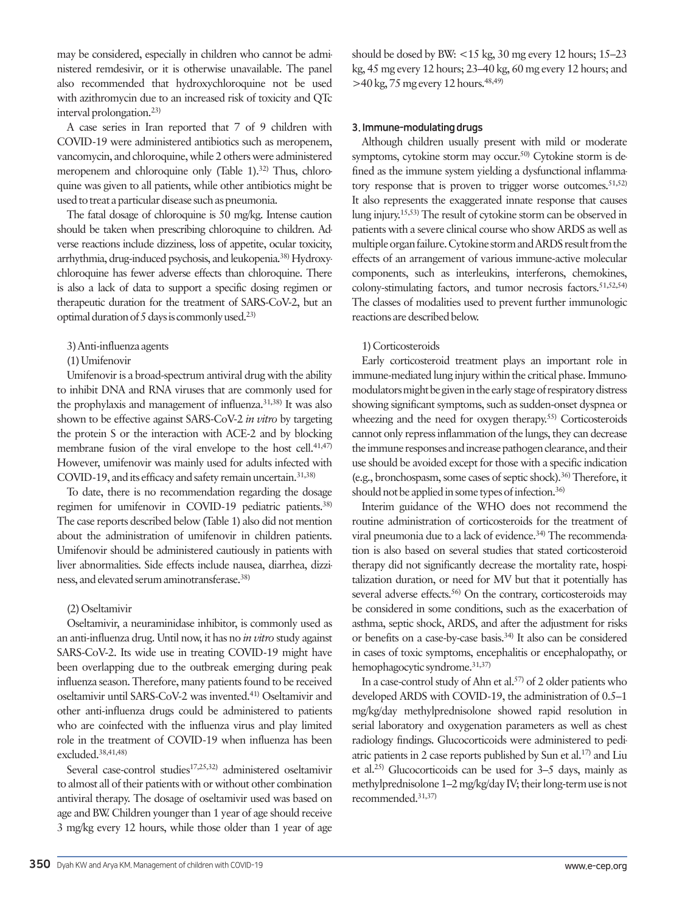may be considered, especially in children who cannot be administered remdesivir, or it is otherwise unavailable. The panel also recommended that hydroxychloroquine not be used with azithromycin due to an increased risk of toxicity and QTc interval prolongation.23)

A case series in Iran reported that 7 of 9 children with COVID-19 were administered antibiotics such as meropenem, vancomycin, and chloroquine, while 2 others were administered meropenem and chloroquine only (Table 1).<sup>32)</sup> Thus, chloroquine was given to all patients, while other antibiotics might be used to treat a particular disease such as pneumonia.

The fatal dosage of chloroquine is 50 mg/kg. Intense caution should be taken when prescribing chloroquine to children. Adverse reactions include dizziness, loss of appetite, ocular toxicity, arrhythmia, drug-induced psychosis, and leukopenia.38) Hydroxychloroquine has fewer adverse effects than chloroquine. There is also a lack of data to support a specific dosing regimen or therapeutic duration for the treatment of SARS-CoV-2, but an optimal duration of 5 days is commonly used.23)

#### 3) Anti-influenza agents

### (1) Umifenovir

Umifenovir is a broad-spectrum antiviral drug with the ability to inhibit DNA and RNA viruses that are commonly used for the prophylaxis and management of influenza.<sup>31,38)</sup> It was also shown to be effective against SARS-CoV-2 *in vitro* by targeting the protein S or the interaction with ACE-2 and by blocking membrane fusion of the viral envelope to the host cell. $41,47$ ) However, umifenovir was mainly used for adults infected with COVID-19, and its efficacy and safety remain uncertain.31,38)

To date, there is no recommendation regarding the dosage regimen for umifenovir in COVID-19 pediatric patients.38) The case reports described below (Table 1) also did not mention about the administration of umifenovir in children patients. Umifenovir should be administered cautiously in patients with liver abnormalities. Side effects include nausea, diarrhea, dizziness, and elevated serum aminotransferase.38)

# (2) Oseltamivir

Oseltamivir, a neuraminidase inhibitor, is commonly used as an anti-influenza drug. Until now, it has no *in vitro* study against SARS-CoV-2. Its wide use in treating COVID-19 might have been overlapping due to the outbreak emerging during peak influenza season. Therefore, many patients found to be received oseltamivir until SARS-CoV-2 was invented.41) Oseltamivir and other anti-influenza drugs could be administered to patients who are coinfected with the influenza virus and play limited role in the treatment of COVID-19 when influenza has been excluded.38,41,48)

Several case-control studies<sup>17,25,32)</sup> administered oseltamivir to almost all of their patients with or without other combination antiviral therapy. The dosage of oseltamivir used was based on age and BW. Children younger than 1 year of age should receive 3 mg/kg every 12 hours, while those older than 1 year of age should be dosed by BW: <15 kg, 30 mg every 12 hours; 15–23 kg, 45 mg every 12 hours; 23–40 kg, 60 mg every 12 hours; and  $>40$  kg, 75 mg every 12 hours.<sup>48,49)</sup>

### 3. Immune-modulating drugs

Although children usually present with mild or moderate symptoms, cytokine storm may occur.<sup>50)</sup> Cytokine storm is defined as the immune system yielding a dysfunctional inflammatory response that is proven to trigger worse outcomes.  $51,52$ It also represents the exaggerated innate response that causes lung injury.15,53) The result of cytokine storm can be observed in patients with a severe clinical course who show ARDS as well as multiple organ failure. Cytokine storm and ARDS result from the effects of an arrangement of various immune-active molecular components, such as interleukins, interferons, chemokines, colony-stimulating factors, and tumor necrosis factors.<sup>51,52,54)</sup> The classes of modalities used to prevent further immunologic reactions are described below.

# 1) Corticosteroids

Early corticosteroid treatment plays an important role in immune-mediated lung injury within the critical phase. Immunomodulators might be given in the early stage of respiratory distress showing significant symptoms, such as sudden-onset dyspnea or wheezing and the need for oxygen therapy.<sup>55)</sup> Corticosteroids cannot only repress inflammation of the lungs, they can decrease the immune responses and increase pathogen clearance, and their use should be avoided except for those with a specific indication (e.g., bronchospasm, some cases of septic shock).36) Therefore, it should not be applied in some types of infection.<sup>36)</sup>

Interim guidance of the WHO does not recommend the routine administration of corticosteroids for the treatment of viral pneumonia due to a lack of evidence.<sup>34)</sup> The recommendation is also based on several studies that stated corticosteroid therapy did not significantly decrease the mortality rate, hospitalization duration, or need for MV but that it potentially has several adverse effects.<sup>56)</sup> On the contrary, corticosteroids may be considered in some conditions, such as the exacerbation of asthma, septic shock, ARDS, and after the adjustment for risks or benefits on a case-by-case basis.34) It also can be considered in cases of toxic symptoms, encephalitis or encephalopathy, or hemophagocytic syndrome.<sup>31,37)</sup>

In a case-control study of Ahn et al.<sup>57)</sup> of 2 older patients who developed ARDS with COVID-19, the administration of 0.5–1 mg/kg/day methylprednisolone showed rapid resolution in serial laboratory and oxygenation parameters as well as chest radiology findings. Glucocorticoids were administered to pediatric patients in 2 case reports published by Sun et al.17) and Liu et al.25) Glucocorticoids can be used for 3–5 days, mainly as methylprednisolone 1–2 mg/kg/day IV; their long-term use is not recommended.31,37)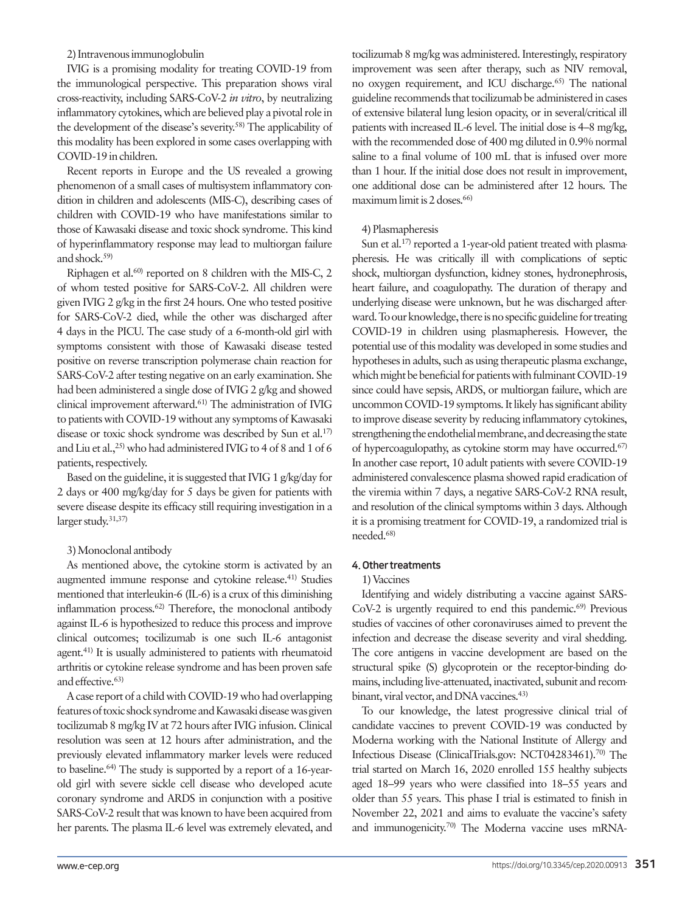#### 2) Intravenous immunoglobulin

IVIG is a promising modality for treating COVID-19 from the immunological perspective. This preparation shows viral cross-reactivity, including SARS-CoV-2 *in vitro*, by neutralizing inflammatory cytokines, which are believed play a pivotal role in the development of the disease's severity.58) The applicability of this modality has been explored in some cases overlapping with COVID-19 in children.

Recent reports in Europe and the US revealed a growing phenomenon of a small cases of multisystem inflammatory condition in children and adolescents (MIS-C), describing cases of children with COVID-19 who have manifestations similar to those of Kawasaki disease and toxic shock syndrome. This kind of hyperinflammatory response may lead to multiorgan failure and shock.59)

Riphagen et al.<sup>60)</sup> reported on 8 children with the MIS-C, 2 of whom tested positive for SARS-CoV-2. All children were given IVIG 2 g/kg in the first 24 hours. One who tested positive for SARS-CoV-2 died, while the other was discharged after 4 days in the PICU. The case study of a 6-month-old girl with symptoms consistent with those of Kawasaki disease tested positive on reverse transcription polymerase chain reaction for SARS-CoV-2 after testing negative on an early examination. She had been administered a single dose of IVIG 2 g/kg and showed clinical improvement afterward.61) The administration of IVIG to patients with COVID-19 without any symptoms of Kawasaki disease or toxic shock syndrome was described by Sun et al.<sup>17)</sup> and Liu et al.,  $^{25)}$  who had administered IVIG to 4 of 8 and 1 of 6 patients, respectively.

Based on the guideline, it is suggested that IVIG 1 g/kg/day for 2 days or 400 mg/kg/day for 5 days be given for patients with severe disease despite its efficacy still requiring investigation in a larger study.31,37)

#### 3) Monoclonal antibody

As mentioned above, the cytokine storm is activated by an augmented immune response and cytokine release.<sup>41)</sup> Studies mentioned that interleukin-6 (IL-6) is a crux of this diminishing inflammation process.<sup>62)</sup> Therefore, the monoclonal antibody against IL-6 is hypothesized to reduce this process and improve clinical outcomes; tocilizumab is one such IL-6 antagonist agent.41) It is usually administered to patients with rheumatoid arthritis or cytokine release syndrome and has been proven safe and effective.63)

A case report of a child with COVID-19 who had overlapping features of toxic shock syndrome and Kawasaki disease was given tocilizumab 8 mg/kg IV at 72 hours after IVIG infusion. Clinical resolution was seen at 12 hours after administration, and the previously elevated inflammatory marker levels were reduced to baseline.64) The study is supported by a report of a 16-yearold girl with severe sickle cell disease who developed acute coronary syndrome and ARDS in conjunction with a positive SARS-CoV-2 result that was known to have been acquired from her parents. The plasma IL-6 level was extremely elevated, and

tocilizumab 8 mg/kg was administered. Interestingly, respiratory improvement was seen after therapy, such as NIV removal, no oxygen requirement, and ICU discharge.65) The national guideline recommends that tocilizumab be administered in cases of extensive bilateral lung lesion opacity, or in several/critical ill patients with increased IL-6 level. The initial dose is 4–8 mg/kg, with the recommended dose of 400 mg diluted in 0.9% normal saline to a final volume of 100 mL that is infused over more than 1 hour. If the initial dose does not result in improvement, one additional dose can be administered after 12 hours. The maximum limit is 2 doses.<sup>66)</sup>

# 4) Plasmapheresis

Sun et al.<sup>17)</sup> reported a 1-year-old patient treated with plasmapheresis. He was critically ill with complications of septic shock, multiorgan dysfunction, kidney stones, hydronephrosis, heart failure, and coagulopathy. The duration of therapy and underlying disease were unknown, but he was discharged afterward. To our knowledge, there is no specific guideline for treating COVID-19 in children using plasmapheresis. However, the potential use of this modality was developed in some studies and hypotheses in adults, such as using therapeutic plasma exchange, which might be beneficial for patients with fulminant COVID-19 since could have sepsis, ARDS, or multiorgan failure, which are uncommon COVID-19 symptoms. It likely has significant ability to improve disease severity by reducing inflammatory cytokines, strengthening the endothelial membrane, and decreasing the state of hypercoagulopathy, as cytokine storm may have occurred.<sup>67)</sup> In another case report, 10 adult patients with severe COVID-19 administered convalescence plasma showed rapid eradication of the viremia within 7 days, a negative SARS-CoV-2 RNA result, and resolution of the clinical symptoms within 3 days. Although it is a promising treatment for COVID-19, a randomized trial is needed.68)

#### 4. Other treatments

#### 1) Vaccines

Identifying and widely distributing a vaccine against SARS- $CoV-2$  is urgently required to end this pandemic.<sup>69)</sup> Previous studies of vaccines of other coronaviruses aimed to prevent the infection and decrease the disease severity and viral shedding. The core antigens in vaccine development are based on the structural spike (S) glycoprotein or the receptor-binding domains, including live-attenuated, inactivated, subunit and recombinant, viral vector, and DNA vaccines.<sup>43)</sup>

To our knowledge, the latest progressive clinical trial of candidate vaccines to prevent COVID-19 was conducted by Moderna working with the National Institute of Allergy and Infectious Disease (ClinicalTrials.gov: NCT04283461).70) The trial started on March 16, 2020 enrolled 155 healthy subjects aged 18–99 years who were classified into 18–55 years and older than 55 years. This phase I trial is estimated to finish in November 22, 2021 and aims to evaluate the vaccine's safety and immunogenicity.<sup>70)</sup> The Moderna vaccine uses mRNA-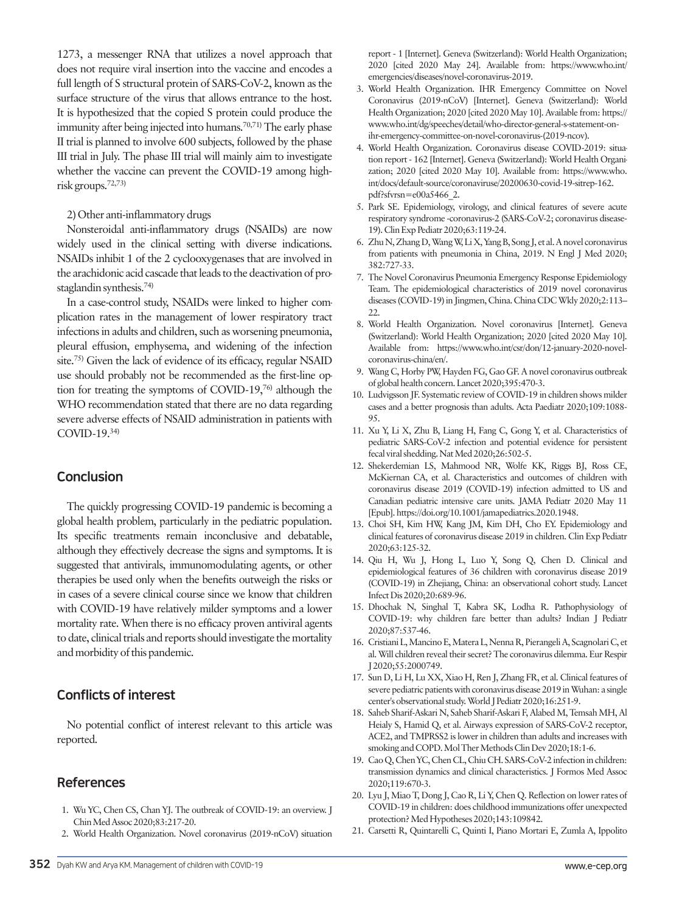1273, a messenger RNA that utilizes a novel approach that does not require viral insertion into the vaccine and encodes a full length of S structural protein of SARS-CoV-2, known as the surface structure of the virus that allows entrance to the host. It is hypothesized that the copied S protein could produce the immunity after being injected into humans.<sup>70,71</sup> The early phase II trial is planned to involve 600 subjects, followed by the phase III trial in July. The phase III trial will mainly aim to investigate whether the vaccine can prevent the COVID-19 among highrisk groups.72,73)

#### 2) Other anti-inflammatory drugs

Nonsteroidal anti-inflammatory drugs (NSAIDs) are now widely used in the clinical setting with diverse indications. NSAIDs inhibit 1 of the 2 cyclooxygenases that are involved in the arachidonic acid cascade that leads to the deactivation of prostaglandin synthesis.74)

In a case-control study, NSAIDs were linked to higher complication rates in the management of lower respiratory tract infections in adults and children, such as worsening pneumonia, pleural effusion, emphysema, and widening of the infection site.<sup>75)</sup> Given the lack of evidence of its efficacy, regular NSAID use should probably not be recommended as the first-line option for treating the symptoms of COVID-19,76) although the WHO recommendation stated that there are no data regarding severe adverse effects of NSAID administration in patients with COVID-19.34)

# Conclusion

The quickly progressing COVID-19 pandemic is becoming a global health problem, particularly in the pediatric population. Its specific treatments remain inconclusive and debatable, although they effectively decrease the signs and symptoms. It is suggested that antivirals, immunomodulating agents, or other therapies be used only when the benefits outweigh the risks or in cases of a severe clinical course since we know that children with COVID-19 have relatively milder symptoms and a lower mortality rate. When there is no efficacy proven antiviral agents to date, clinical trials and reports should investigate the mortality and morbidity of this pandemic.

# Conflicts of interest

No potential conflict of interest relevant to this article was reported.

# **References**

- 1. Wu YC, Chen CS, Chan YJ. The outbreak of COVID-19: an overview. J Chin Med Assoc 2020;83:217-20.
- 2. World Health Organization. Novel coronavirus (2019-nCoV) situation

report - 1 [Internet]. Geneva (Switzerland): World Health Organization; 2020 [cited 2020 May 24]. Available from: https://www.who.int/ emergencies/diseases/novel-coronavirus-2019.

- 3. World Health Organization. IHR Emergency Committee on Novel Coronavirus (2019-nCoV) [Internet]. Geneva (Switzerland): World Health Organization; 2020 [cited 2020 May 10]. Available from: https:// www.who.int/dg/speeches/detail/who-director-general-s-statement-onihr-emergency-committee-on-novel-coronavirus-(2019-ncov).
- 4. World Health Organization. Coronavirus disease COVID-2019: situation report - 162 [Internet]. Geneva (Switzerland): World Health Organization; 2020 [cited 2020 May 10]. Available from: [https://www.who.](https://www.who.int/docs/default-source/coronaviruse/20200630-covid-19-sitrep-162.pdf?sfvrsn=e00a5466_2.) [int/docs/default-source/coronaviruse/20200630-covid-19-sitrep-162.](https://www.who.int/docs/default-source/coronaviruse/20200630-covid-19-sitrep-162.pdf?sfvrsn=e00a5466_2.) [pdf?sfvrsn=e00a5466\\_2.](https://www.who.int/docs/default-source/coronaviruse/20200630-covid-19-sitrep-162.pdf?sfvrsn=e00a5466_2.)
- 5. Park SE. Epidemiology, virology, and clinical features of severe acute respiratory syndrome -coronavirus-2 (SARS-CoV-2; coronavirus disease-19). Clin Exp Pediatr 2020;63:119-24.
- 6. Zhu N, Zhang D, Wang W, Li X, Yang B, Song J, et al. A novel coronavirus from patients with pneumonia in China, 2019. N Engl J Med 2020; 382:727-33.
- 7. The Novel Coronavirus Pneumonia Emergency Response Epidemiology Team. The epidemiological characteristics of 2019 novel coronavirus diseases (COVID-19) in Jingmen, China. China CDC Wkly 2020;2:113– 22.
- 8. World Health Organization. Novel coronavirus [Internet]. Geneva (Switzerland): World Health Organization; 2020 [cited 2020 May 10]. Available from: https://www.who.int/csr/don/12-january-2020-novelcoronavirus-china/en/.
- 9. Wang C, Horby PW, Hayden FG, Gao GF. A novel coronavirus outbreak of global health concern. Lancet 2020;395:470-3.
- 10. Ludvigsson JF. Systematic review of COVID-19 in children shows milder cases and a better prognosis than adults. Acta Paediatr 2020;109:1088- 95.
- 11. Xu Y, Li X, Zhu B, Liang H, Fang C, Gong Y, et al. Characteristics of pediatric SARS-CoV-2 infection and potential evidence for persistent fecal viral shedding. Nat Med 2020;26:502-5.
- 12. Shekerdemian LS, Mahmood NR, Wolfe KK, Riggs BJ, Ross CE, McKiernan CA, et al. Characteristics and outcomes of children with coronavirus disease 2019 (COVID-19) infection admitted to US and Canadian pediatric intensive care units. JAMA Pediatr 2020 May 11 [Epub]. https://doi.org/10.1001/jamapediatrics.2020.1948.
- 13. Choi SH, Kim HW, Kang JM, Kim DH, Cho EY. Epidemiology and clinical features of coronavirus disease 2019 in children. Clin Exp Pediatr 2020;63:125-32.
- 14. Qiu H, Wu J, Hong L, Luo Y, Song Q, Chen D. Clinical and epidemiological features of 36 children with coronavirus disease 2019 (COVID-19) in Zhejiang, China: an observational cohort study. Lancet Infect Dis 2020;20:689-96.
- 15. Dhochak N, Singhal T, Kabra SK, Lodha R. Pathophysiology of COVID-19: why children fare better than adults? Indian J Pediatr 2020;87:537-46.
- 16. Cristiani L, Mancino E, Matera L, Nenna R, Pierangeli A, Scagnolari C, et al. Will children reveal their secret? The coronavirus dilemma. Eur Respir J 2020;55:2000749.
- 17. Sun D, Li H, Lu XX, Xiao H, Ren J, Zhang FR, et al. Clinical features of severe pediatric patients with coronavirus disease 2019 in Wuhan: a single center's observational study. World J Pediatr 2020;16:251-9.
- 18. Saheb Sharif-Askari N, Saheb Sharif-Askari F, Alabed M, Temsah MH, Al Heialy S, Hamid Q, et al. Airways expression of SARS-CoV-2 receptor, ACE2, and TMPRSS2 is lower in children than adults and increases with smoking and COPD. Mol Ther Methods Clin Dev 2020;18:1-6.
- 19. Cao Q, Chen YC, Chen CL, Chiu CH. SARS-CoV-2 infection in children: transmission dynamics and clinical characteristics. J Formos Med Assoc 2020;119:670-3.
- 20. Lyu J, Miao T, Dong J, Cao R, Li Y, Chen Q. Reflection on lower rates of COVID-19 in children: does childhood immunizations offer unexpected protection? Med Hypotheses 2020;143:109842.
- 21. Carsetti R, Quintarelli C, Quinti I, Piano Mortari E, Zumla A, Ippolito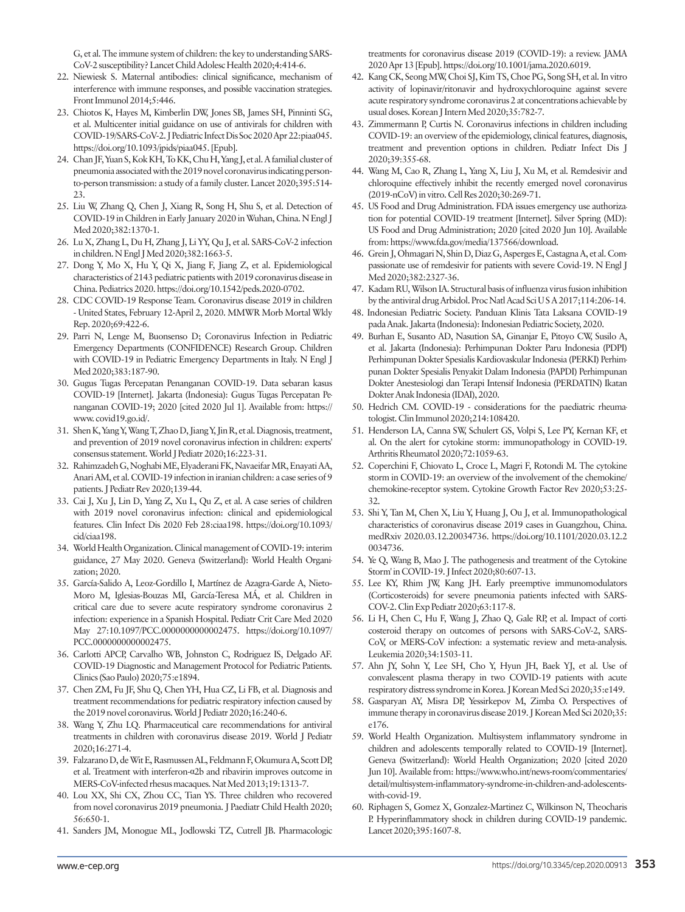G, et al. The immune system of children: the key to understanding SARS-CoV-2 susceptibility? Lancet Child Adolesc Health 2020;4:414-6.

- 22. Niewiesk S. Maternal antibodies: clinical significance, mechanism of interference with immune responses, and possible vaccination strategies. Front Immunol 2014;5:446.
- 23. Chiotos K, Hayes M, Kimberlin DW, Jones SB, James SH, Pinninti SG, et al. Multicenter initial guidance on use of antivirals for children with COVID-19/SARS-CoV-2. J Pediatric Infect Dis Soc 2020 Apr 22:piaa045. https://doi.org/10.1093/jpids/piaa045. [Epub].
- 24. Chan JF, Yuan S, Kok KH, To KK, Chu H, Yang J, et al. A familial cluster of pneumonia associated with the 2019 novel coronavirus indicating personto-person transmission: a study of a family cluster. Lancet 2020;395:514- 23.
- 25. Liu W, Zhang Q, Chen J, Xiang R, Song H, Shu S, et al. Detection of COVID-19 in Children in Early January 2020 in Wuhan, China. N Engl J Med 2020;382:1370-1.
- 26. Lu X, Zhang L, Du H, Zhang J, Li YY, Qu J, et al. SARS-CoV-2 infection in children. N Engl J Med 2020;382:1663-5.
- 27. Dong Y, Mo X, Hu Y, Qi X, Jiang F, Jiang Z, et al. Epidemiological characteristics of 2143 pediatric patients with 2019 coronavirus disease in China. Pediatrics 2020. https://doi.org/10.1542/peds.2020-0702.
- 28. CDC COVID-19 Response Team. Coronavirus disease 2019 in children - United States, February 12-April 2, 2020. MMWR Morb Mortal Wkly Rep. 2020;69:422-6.
- 29. Parri N, Lenge M, Buonsenso D; Coronavirus Infection in Pediatric Emergency Departments (CONFIDENCE) Research Group. Children with COVID-19 in Pediatric Emergency Departments in Italy. N Engl J Med 2020;383:187-90.
- 30. Gugus Tugas Percepatan Penanganan COVID-19. Data sebaran kasus COVID-19 [Internet]. Jakarta (Indonesia): Gugus Tugas Percepatan Penanganan COVID-19; 2020 [cited 2020 Jul 1]. Available from: [https://](https://www. covid19.go.id/) [www. covid19.go.id/](https://www. covid19.go.id/).
- 31. Shen K, Yang Y, Wang T, Zhao D, Jiang Y, Jin R, et al. Diagnosis, treatment, and prevention of 2019 novel coronavirus infection in children: experts' consensus statement. World J Pediatr 2020;16:223-31.
- 32. Rahimzadeh G, Noghabi ME, Elyaderani FK, Navaeifar MR, Enayati AA, Anari AM, et al. COVID-19 infection in iranian children: a case series of 9 patients. J Pediatr Rev 2020;139-44.
- 33. Cai J, Xu J, Lin D, Yang Z, Xu L, Qu Z, et al. A case series of children with 2019 novel coronavirus infection: clinical and epidemiological features. Clin Infect Dis 2020 Feb 28:ciaa198. https://doi.org/10.1093/ cid/ciaa198.
- 34. World Health Organization. Clinical management of COVID-19: interim guidance, 27 May 2020. Geneva (Switzerland): World Health Organization; 2020.
- 35. García-Salido A, Leoz-Gordillo I, Martínez de Azagra-Garde A, Nieto-Moro M, Iglesias-Bouzas MI, García-Teresa MÁ, et al. Children in critical care due to severe acute respiratory syndrome coronavirus 2 infection: experience in a Spanish Hospital. Pediatr Crit Care Med 2020 May 27:10.1097/PCC.0000000000002475. https://doi.org/10.1097/ PCC.0000000000002475.
- 36. Carlotti APCP, Carvalho WB, Johnston C, Rodriguez IS, Delgado AF. COVID-19 Diagnostic and Management Protocol for Pediatric Patients. Clinics (Sao Paulo) 2020;75:e1894.
- 37. Chen ZM, Fu JF, Shu Q, Chen YH, Hua CZ, Li FB, et al. Diagnosis and treatment recommendations for pediatric respiratory infection caused by the 2019 novel coronavirus. World J Pediatr 2020;16:240-6.
- 38. Wang Y, Zhu LQ. Pharmaceutical care recommendations for antiviral treatments in children with coronavirus disease 2019. World J Pediatr 2020;16:271-4.
- 39. Falzarano D, de Wit E, Rasmussen AL, Feldmann F, Okumura A, Scott DP, et al. Treatment with interferon-α2b and ribavirin improves outcome in MERS-CoV-infected rhesus macaques. Nat Med 2013;19:1313-7.
- 40. Lou XX, Shi CX, Zhou CC, Tian YS. Three children who recovered from novel coronavirus 2019 pneumonia. J Paediatr Child Health 2020; 56:650-1.
- 41. Sanders JM, Monogue ML, Jodlowski TZ, Cutrell JB. Pharmacologic

treatments for coronavirus disease 2019 (COVID-19): a review. JAMA 2020 Apr 13 [Epub]. https://doi.org/10.1001/jama.2020.6019.

- 42. Kang CK, Seong MW, Choi SJ, Kim TS, Choe PG, Song SH, et al. In vitro activity of lopinavir/ritonavir and hydroxychloroquine against severe acute respiratory syndrome coronavirus 2 at concentrations achievable by usual doses. Korean J Intern Med 2020;35:782-7.
- 43. Zimmermann P, Curtis N. Coronavirus infections in children including COVID-19: an overview of the epidemiology, clinical features, diagnosis, treatment and prevention options in children. Pediatr Infect Dis J 2020;39:355-68.
- 44. Wang M, Cao R, Zhang L, Yang X, Liu J, Xu M, et al. Remdesivir and chloroquine effectively inhibit the recently emerged novel coronavirus (2019-nCoV) in vitro. Cell Res 2020;30:269-71.
- 45. US Food and Drug Administration. FDA issues emergency use authorization for potential COVID-19 treatment [Internet]. Silver Spring (MD): US Food and Drug Administration; 2020 [cited 2020 Jun 10]. Available from: https://www.fda.gov/media/137566/download.
- 46. Grein J, Ohmagari N, Shin D, Diaz G, Asperges E, Castagna A, et al. Compassionate use of remdesivir for patients with severe Covid-19. N Engl J Med 2020;382:2327-36.
- 47. Kadam RU, Wilson IA. Structural basis of influenza virus fusion inhibition by the antiviral drug Arbidol. Proc Natl Acad Sci U S A 2017;114:206-14.
- 48. Indonesian Pediatric Society. Panduan Klinis Tata Laksana COVID-19 pada Anak. Jakarta (Indonesia): Indonesian Pediatric Society, 2020.
- 49. Burhan E, Susanto AD, Nasution SA, Ginanjar E, Pitoyo CW, Susilo A, et al. Jakarta (Indonesia): Perhimpunan Dokter Paru Indonesia (PDPI) Perhimpunan Dokter Spesialis Kardiovaskular Indonesia (PERKI) Perhimpunan Dokter Spesialis Penyakit Dalam Indonesia (PAPDI) Perhimpunan Dokter Anestesiologi dan Terapi Intensif Indonesia (PERDATIN) Ikatan Dokter Anak Indonesia (IDAI), 2020.
- 50. Hedrich CM. COVID-19 considerations for the paediatric rheumatologist. Clin Immunol 2020;214:108420.
- 51. Henderson LA, Canna SW, Schulert GS, Volpi S, Lee PY, Kernan KF, et al. On the alert for cytokine storm: immunopathology in COVID-19. Arthritis Rheumatol 2020;72:1059-63.
- 52. Coperchini F, Chiovato L, Croce L, Magri F, Rotondi M. The cytokine storm in COVID-19: an overview of the involvement of the chemokine/ chemokine-receptor system. Cytokine Growth Factor Rev 2020;53:25- 32.
- 53. Shi Y, Tan M, Chen X, Liu Y, Huang J, Ou J, et al. Immunopathological characteristics of coronavirus disease 2019 cases in Guangzhou, China. medRxiv 2020.03.12.20034736. https://doi.org/10.1101/2020.03.12.2 0034736.
- 54. Ye Q, Wang B, Mao J. The pathogenesis and treatment of the Cytokine Storm' in COVID-19. J Infect 2020;80:607-13.
- 55. Lee KY, Rhim JW, Kang JH. Early preemptive immunomodulators (Corticosteroids) for severe pneumonia patients infected with SARS-COV-2. Clin Exp Pediatr 2020;63:117-8.
- 56. Li H, Chen C, Hu F, Wang J, Zhao Q, Gale RP, et al. Impact of corticosteroid therapy on outcomes of persons with SARS-CoV-2, SARS-CoV, or MERS-CoV infection: a systematic review and meta-analysis. Leukemia 2020;34:1503-11.
- 57. Ahn JY, Sohn Y, Lee SH, Cho Y, Hyun JH, Baek YJ, et al. Use of convalescent plasma therapy in two COVID-19 patients with acute respiratory distress syndrome in Korea. J Korean Med Sci 2020;35:e149.
- 58. Gasparyan AY, Misra DP, Yessirkepov M, Zimba O. Perspectives of immune therapy in coronavirus disease 2019. J Korean Med Sci 2020;35: e176.
- 59. World Health Organization. Multisystem inflammatory syndrome in children and adolescents temporally related to COVID-19 [Internet]. Geneva (Switzerland): World Health Organization; 2020 [cited 2020 Jun 10]. Available from: https://www.who.int/news-room/commentaries/ detail/multisystem-inflammatory-syndrome-in-children-and-adolescentswith-covid-19.
- 60. Riphagen S, Gomez X, Gonzalez-Martinez C, Wilkinson N, Theocharis P. Hyperinflammatory shock in children during COVID-19 pandemic. Lancet 2020;395:1607-8.